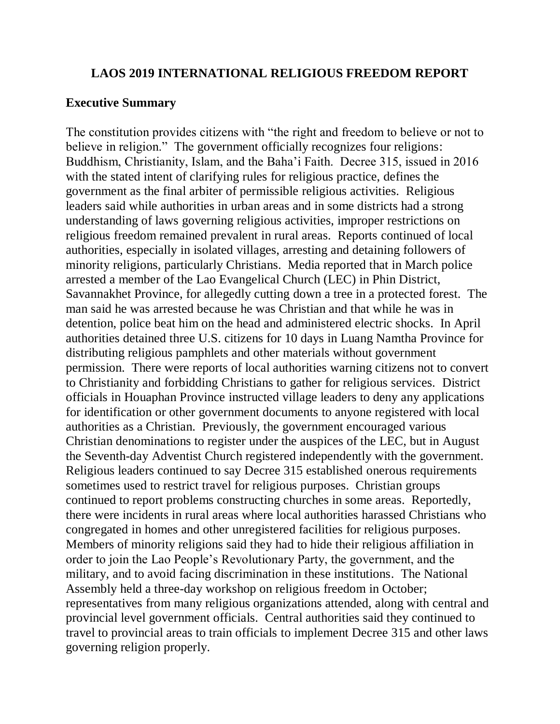### **LAOS 2019 INTERNATIONAL RELIGIOUS FREEDOM REPORT**

## **Executive Summary**

The constitution provides citizens with "the right and freedom to believe or not to believe in religion." The government officially recognizes four religions: Buddhism, Christianity, Islam, and the Baha'i Faith. Decree 315, issued in 2016 with the stated intent of clarifying rules for religious practice, defines the government as the final arbiter of permissible religious activities. Religious leaders said while authorities in urban areas and in some districts had a strong understanding of laws governing religious activities, improper restrictions on religious freedom remained prevalent in rural areas. Reports continued of local authorities, especially in isolated villages, arresting and detaining followers of minority religions, particularly Christians. Media reported that in March police arrested a member of the Lao Evangelical Church (LEC) in Phin District, Savannakhet Province, for allegedly cutting down a tree in a protected forest. The man said he was arrested because he was Christian and that while he was in detention, police beat him on the head and administered electric shocks. In April authorities detained three U.S. citizens for 10 days in Luang Namtha Province for distributing religious pamphlets and other materials without government permission. There were reports of local authorities warning citizens not to convert to Christianity and forbidding Christians to gather for religious services. District officials in Houaphan Province instructed village leaders to deny any applications for identification or other government documents to anyone registered with local authorities as a Christian. Previously, the government encouraged various Christian denominations to register under the auspices of the LEC, but in August the Seventh-day Adventist Church registered independently with the government. Religious leaders continued to say Decree 315 established onerous requirements sometimes used to restrict travel for religious purposes. Christian groups continued to report problems constructing churches in some areas. Reportedly, there were incidents in rural areas where local authorities harassed Christians who congregated in homes and other unregistered facilities for religious purposes. Members of minority religions said they had to hide their religious affiliation in order to join the Lao People's Revolutionary Party, the government, and the military, and to avoid facing discrimination in these institutions. The National Assembly held a three-day workshop on religious freedom in October; representatives from many religious organizations attended, along with central and provincial level government officials. Central authorities said they continued to travel to provincial areas to train officials to implement Decree 315 and other laws governing religion properly.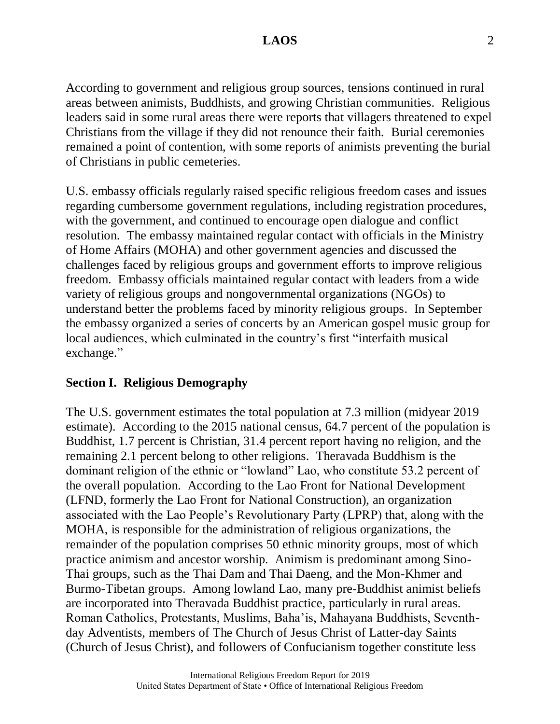According to government and religious group sources, tensions continued in rural areas between animists, Buddhists, and growing Christian communities. Religious leaders said in some rural areas there were reports that villagers threatened to expel Christians from the village if they did not renounce their faith. Burial ceremonies remained a point of contention, with some reports of animists preventing the burial of Christians in public cemeteries.

U.S. embassy officials regularly raised specific religious freedom cases and issues regarding cumbersome government regulations, including registration procedures, with the government, and continued to encourage open dialogue and conflict resolution. The embassy maintained regular contact with officials in the Ministry of Home Affairs (MOHA) and other government agencies and discussed the challenges faced by religious groups and government efforts to improve religious freedom. Embassy officials maintained regular contact with leaders from a wide variety of religious groups and nongovernmental organizations (NGOs) to understand better the problems faced by minority religious groups. In September the embassy organized a series of concerts by an American gospel music group for local audiences, which culminated in the country's first "interfaith musical exchange."

## **Section I. Religious Demography**

The U.S. government estimates the total population at 7.3 million (midyear 2019 estimate). According to the 2015 national census, 64.7 percent of the population is Buddhist, 1.7 percent is Christian, 31.4 percent report having no religion, and the remaining 2.1 percent belong to other religions. Theravada Buddhism is the dominant religion of the ethnic or "lowland" Lao, who constitute 53.2 percent of the overall population. According to the Lao Front for National Development (LFND, formerly the Lao Front for National Construction), an organization associated with the Lao People's Revolutionary Party (LPRP) that, along with the MOHA, is responsible for the administration of religious organizations, the remainder of the population comprises 50 ethnic minority groups, most of which practice animism and ancestor worship. Animism is predominant among Sino-Thai groups, such as the Thai Dam and Thai Daeng, and the Mon-Khmer and Burmo-Tibetan groups. Among lowland Lao, many pre-Buddhist animist beliefs are incorporated into Theravada Buddhist practice, particularly in rural areas. Roman Catholics, Protestants, Muslims, Baha'is, Mahayana Buddhists, Seventhday Adventists, members of The Church of Jesus Christ of Latter-day Saints (Church of Jesus Christ), and followers of Confucianism together constitute less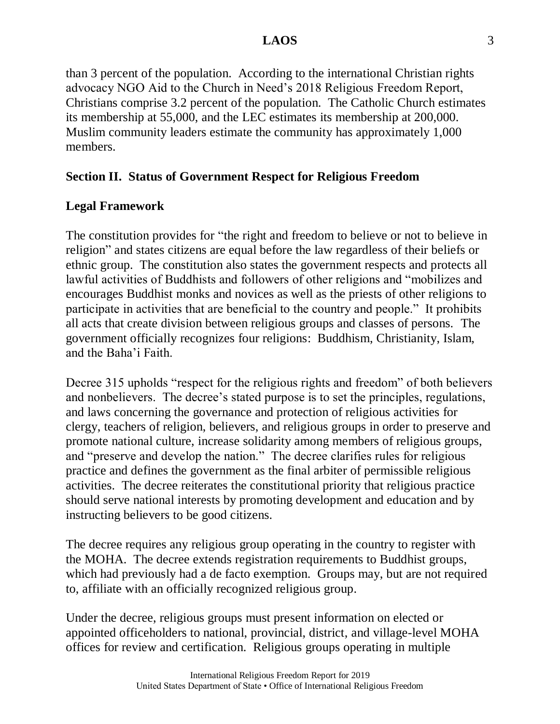than 3 percent of the population. According to the international Christian rights advocacy NGO Aid to the Church in Need's 2018 Religious Freedom Report, Christians comprise 3.2 percent of the population. The Catholic Church estimates its membership at 55,000, and the LEC estimates its membership at 200,000. Muslim community leaders estimate the community has approximately 1,000 members.

# **Section II. Status of Government Respect for Religious Freedom**

## **Legal Framework**

The constitution provides for "the right and freedom to believe or not to believe in religion" and states citizens are equal before the law regardless of their beliefs or ethnic group. The constitution also states the government respects and protects all lawful activities of Buddhists and followers of other religions and "mobilizes and encourages Buddhist monks and novices as well as the priests of other religions to participate in activities that are beneficial to the country and people." It prohibits all acts that create division between religious groups and classes of persons. The government officially recognizes four religions: Buddhism, Christianity, Islam, and the Baha'i Faith.

Decree 315 upholds "respect for the religious rights and freedom" of both believers and nonbelievers. The decree's stated purpose is to set the principles, regulations, and laws concerning the governance and protection of religious activities for clergy, teachers of religion, believers, and religious groups in order to preserve and promote national culture, increase solidarity among members of religious groups, and "preserve and develop the nation." The decree clarifies rules for religious practice and defines the government as the final arbiter of permissible religious activities. The decree reiterates the constitutional priority that religious practice should serve national interests by promoting development and education and by instructing believers to be good citizens.

The decree requires any religious group operating in the country to register with the MOHA. The decree extends registration requirements to Buddhist groups, which had previously had a de facto exemption. Groups may, but are not required to, affiliate with an officially recognized religious group.

Under the decree, religious groups must present information on elected or appointed officeholders to national, provincial, district, and village-level MOHA offices for review and certification. Religious groups operating in multiple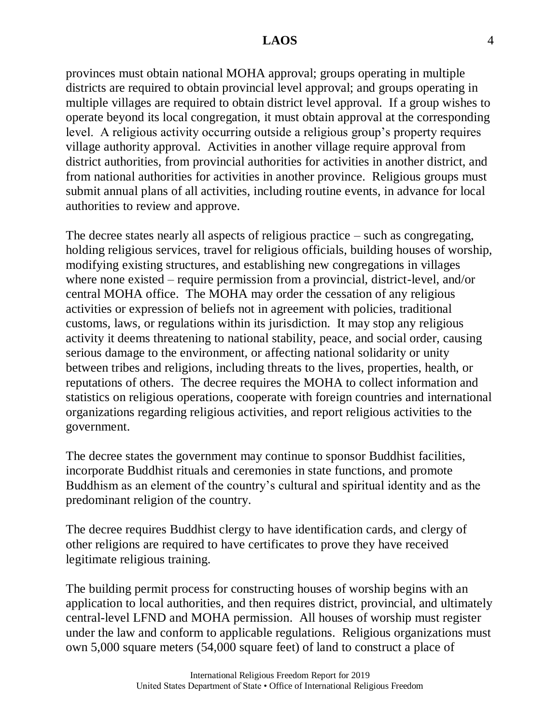provinces must obtain national MOHA approval; groups operating in multiple districts are required to obtain provincial level approval; and groups operating in multiple villages are required to obtain district level approval. If a group wishes to operate beyond its local congregation, it must obtain approval at the corresponding level. A religious activity occurring outside a religious group's property requires village authority approval. Activities in another village require approval from district authorities, from provincial authorities for activities in another district, and from national authorities for activities in another province. Religious groups must submit annual plans of all activities, including routine events, in advance for local authorities to review and approve.

The decree states nearly all aspects of religious practice – such as congregating, holding religious services, travel for religious officials, building houses of worship, modifying existing structures, and establishing new congregations in villages where none existed – require permission from a provincial, district-level, and/or central MOHA office. The MOHA may order the cessation of any religious activities or expression of beliefs not in agreement with policies, traditional customs, laws, or regulations within its jurisdiction. It may stop any religious activity it deems threatening to national stability, peace, and social order, causing serious damage to the environment, or affecting national solidarity or unity between tribes and religions, including threats to the lives, properties, health, or reputations of others. The decree requires the MOHA to collect information and statistics on religious operations, cooperate with foreign countries and international organizations regarding religious activities, and report religious activities to the government.

The decree states the government may continue to sponsor Buddhist facilities, incorporate Buddhist rituals and ceremonies in state functions, and promote Buddhism as an element of the country's cultural and spiritual identity and as the predominant religion of the country.

The decree requires Buddhist clergy to have identification cards, and clergy of other religions are required to have certificates to prove they have received legitimate religious training.

The building permit process for constructing houses of worship begins with an application to local authorities, and then requires district, provincial, and ultimately central-level LFND and MOHA permission. All houses of worship must register under the law and conform to applicable regulations. Religious organizations must own 5,000 square meters (54,000 square feet) of land to construct a place of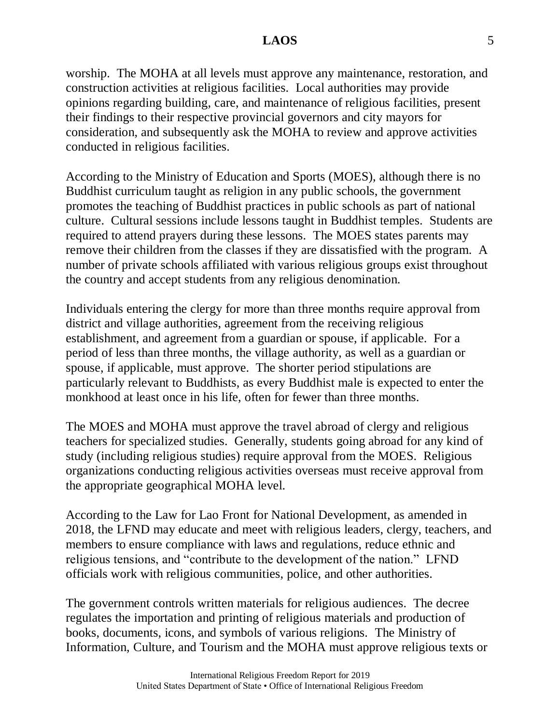worship. The MOHA at all levels must approve any maintenance, restoration, and construction activities at religious facilities. Local authorities may provide opinions regarding building, care, and maintenance of religious facilities, present their findings to their respective provincial governors and city mayors for consideration, and subsequently ask the MOHA to review and approve activities conducted in religious facilities.

According to the Ministry of Education and Sports (MOES), although there is no Buddhist curriculum taught as religion in any public schools, the government promotes the teaching of Buddhist practices in public schools as part of national culture. Cultural sessions include lessons taught in Buddhist temples. Students are required to attend prayers during these lessons. The MOES states parents may remove their children from the classes if they are dissatisfied with the program. A number of private schools affiliated with various religious groups exist throughout the country and accept students from any religious denomination.

Individuals entering the clergy for more than three months require approval from district and village authorities, agreement from the receiving religious establishment, and agreement from a guardian or spouse, if applicable. For a period of less than three months, the village authority, as well as a guardian or spouse, if applicable, must approve. The shorter period stipulations are particularly relevant to Buddhists, as every Buddhist male is expected to enter the monkhood at least once in his life, often for fewer than three months.

The MOES and MOHA must approve the travel abroad of clergy and religious teachers for specialized studies. Generally, students going abroad for any kind of study (including religious studies) require approval from the MOES. Religious organizations conducting religious activities overseas must receive approval from the appropriate geographical MOHA level.

According to the Law for Lao Front for National Development, as amended in 2018, the LFND may educate and meet with religious leaders, clergy, teachers, and members to ensure compliance with laws and regulations, reduce ethnic and religious tensions, and "contribute to the development of the nation." LFND officials work with religious communities, police, and other authorities.

The government controls written materials for religious audiences. The decree regulates the importation and printing of religious materials and production of books, documents, icons, and symbols of various religions. The Ministry of Information, Culture, and Tourism and the MOHA must approve religious texts or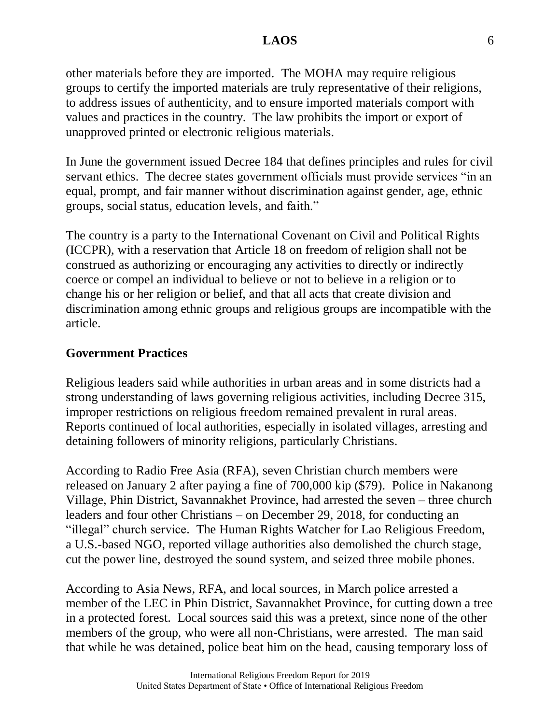other materials before they are imported. The MOHA may require religious groups to certify the imported materials are truly representative of their religions, to address issues of authenticity, and to ensure imported materials comport with values and practices in the country. The law prohibits the import or export of unapproved printed or electronic religious materials.

In June the government issued Decree 184 that defines principles and rules for civil servant ethics. The decree states government officials must provide services "in an equal, prompt, and fair manner without discrimination against gender, age, ethnic groups, social status, education levels, and faith."

The country is a party to the International Covenant on Civil and Political Rights (ICCPR), with a reservation that Article 18 on freedom of religion shall not be construed as authorizing or encouraging any activities to directly or indirectly coerce or compel an individual to believe or not to believe in a religion or to change his or her religion or belief, and that all acts that create division and discrimination among ethnic groups and religious groups are incompatible with the article.

#### **Government Practices**

Religious leaders said while authorities in urban areas and in some districts had a strong understanding of laws governing religious activities, including Decree 315, improper restrictions on religious freedom remained prevalent in rural areas. Reports continued of local authorities, especially in isolated villages, arresting and detaining followers of minority religions, particularly Christians.

According to Radio Free Asia (RFA), seven Christian church members were released on January 2 after paying a fine of 700,000 kip (\$79). Police in Nakanong Village, Phin District, Savannakhet Province, had arrested the seven – three church leaders and four other Christians – on December 29, 2018, for conducting an "illegal" church service. The Human Rights Watcher for Lao Religious Freedom, a U.S.-based NGO, reported village authorities also demolished the church stage, cut the power line, destroyed the sound system, and seized three mobile phones.

According to Asia News, RFA, and local sources, in March police arrested a member of the LEC in Phin District, Savannakhet Province, for cutting down a tree in a protected forest. Local sources said this was a pretext, since none of the other members of the group, who were all non-Christians, were arrested. The man said that while he was detained, police beat him on the head, causing temporary loss of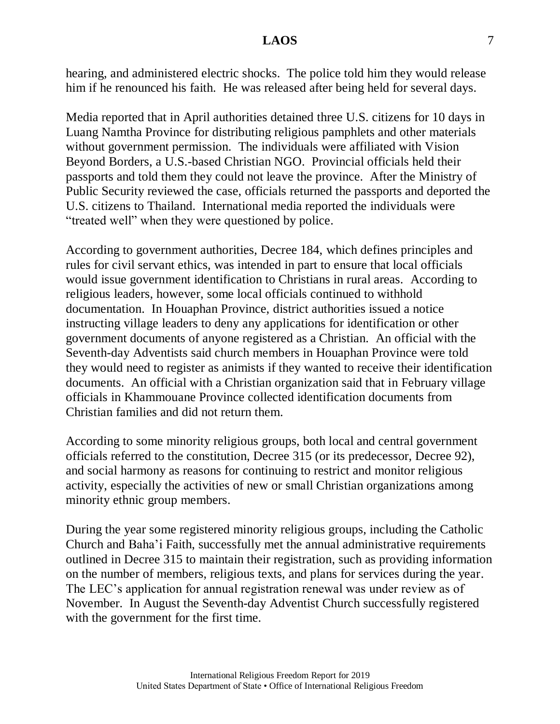hearing, and administered electric shocks. The police told him they would release him if he renounced his faith. He was released after being held for several days.

Media reported that in April authorities detained three U.S. citizens for 10 days in Luang Namtha Province for distributing religious pamphlets and other materials without government permission. The individuals were affiliated with Vision Beyond Borders, a U.S.-based Christian NGO. Provincial officials held their passports and told them they could not leave the province. After the Ministry of Public Security reviewed the case, officials returned the passports and deported the U.S. citizens to Thailand. International media reported the individuals were "treated well" when they were questioned by police.

According to government authorities, Decree 184, which defines principles and rules for civil servant ethics, was intended in part to ensure that local officials would issue government identification to Christians in rural areas. According to religious leaders, however, some local officials continued to withhold documentation. In Houaphan Province, district authorities issued a notice instructing village leaders to deny any applications for identification or other government documents of anyone registered as a Christian. An official with the Seventh-day Adventists said church members in Houaphan Province were told they would need to register as animists if they wanted to receive their identification documents. An official with a Christian organization said that in February village officials in Khammouane Province collected identification documents from Christian families and did not return them.

According to some minority religious groups, both local and central government officials referred to the constitution, Decree 315 (or its predecessor, Decree 92), and social harmony as reasons for continuing to restrict and monitor religious activity, especially the activities of new or small Christian organizations among minority ethnic group members.

During the year some registered minority religious groups, including the Catholic Church and Baha'i Faith, successfully met the annual administrative requirements outlined in Decree 315 to maintain their registration, such as providing information on the number of members, religious texts, and plans for services during the year. The LEC's application for annual registration renewal was under review as of November. In August the Seventh-day Adventist Church successfully registered with the government for the first time.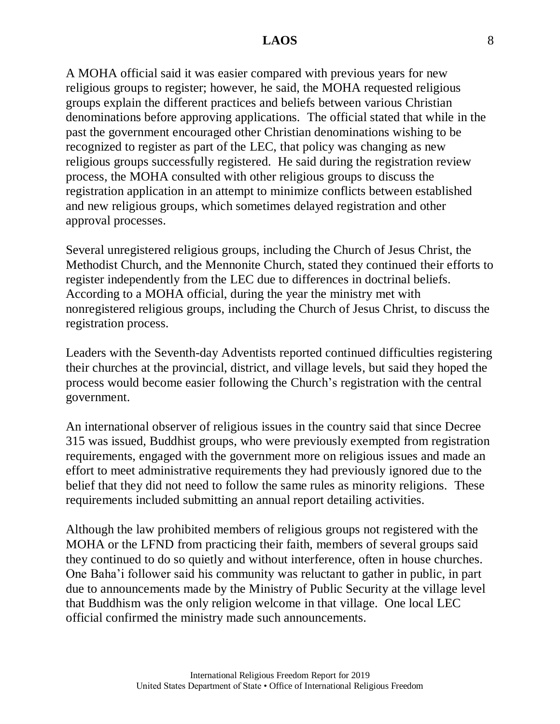A MOHA official said it was easier compared with previous years for new religious groups to register; however, he said, the MOHA requested religious groups explain the different practices and beliefs between various Christian denominations before approving applications. The official stated that while in the past the government encouraged other Christian denominations wishing to be recognized to register as part of the LEC, that policy was changing as new religious groups successfully registered. He said during the registration review process, the MOHA consulted with other religious groups to discuss the registration application in an attempt to minimize conflicts between established and new religious groups, which sometimes delayed registration and other approval processes.

Several unregistered religious groups, including the Church of Jesus Christ, the Methodist Church, and the Mennonite Church, stated they continued their efforts to register independently from the LEC due to differences in doctrinal beliefs. According to a MOHA official, during the year the ministry met with nonregistered religious groups, including the Church of Jesus Christ, to discuss the registration process.

Leaders with the Seventh-day Adventists reported continued difficulties registering their churches at the provincial, district, and village levels, but said they hoped the process would become easier following the Church's registration with the central government.

An international observer of religious issues in the country said that since Decree 315 was issued, Buddhist groups, who were previously exempted from registration requirements, engaged with the government more on religious issues and made an effort to meet administrative requirements they had previously ignored due to the belief that they did not need to follow the same rules as minority religions. These requirements included submitting an annual report detailing activities.

Although the law prohibited members of religious groups not registered with the MOHA or the LFND from practicing their faith, members of several groups said they continued to do so quietly and without interference, often in house churches. One Baha'i follower said his community was reluctant to gather in public, in part due to announcements made by the Ministry of Public Security at the village level that Buddhism was the only religion welcome in that village. One local LEC official confirmed the ministry made such announcements.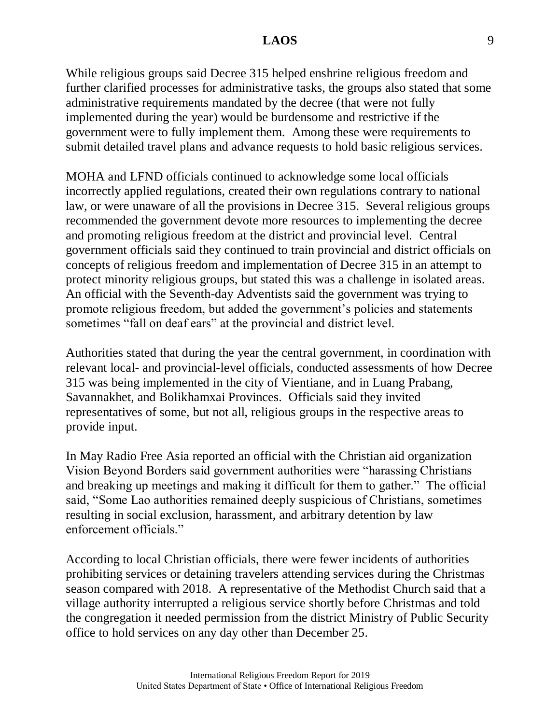While religious groups said Decree 315 helped enshrine religious freedom and further clarified processes for administrative tasks, the groups also stated that some administrative requirements mandated by the decree (that were not fully implemented during the year) would be burdensome and restrictive if the government were to fully implement them. Among these were requirements to submit detailed travel plans and advance requests to hold basic religious services.

MOHA and LFND officials continued to acknowledge some local officials incorrectly applied regulations, created their own regulations contrary to national law, or were unaware of all the provisions in Decree 315. Several religious groups recommended the government devote more resources to implementing the decree and promoting religious freedom at the district and provincial level. Central government officials said they continued to train provincial and district officials on concepts of religious freedom and implementation of Decree 315 in an attempt to protect minority religious groups, but stated this was a challenge in isolated areas. An official with the Seventh-day Adventists said the government was trying to promote religious freedom, but added the government's policies and statements sometimes "fall on deaf ears" at the provincial and district level.

Authorities stated that during the year the central government, in coordination with relevant local- and provincial-level officials, conducted assessments of how Decree 315 was being implemented in the city of Vientiane, and in Luang Prabang, Savannakhet, and Bolikhamxai Provinces. Officials said they invited representatives of some, but not all, religious groups in the respective areas to provide input.

In May Radio Free Asia reported an official with the Christian aid organization Vision Beyond Borders said government authorities were "harassing Christians and breaking up meetings and making it difficult for them to gather." The official said, "Some Lao authorities remained deeply suspicious of Christians, sometimes resulting in social exclusion, harassment, and arbitrary detention by law enforcement officials."

According to local Christian officials, there were fewer incidents of authorities prohibiting services or detaining travelers attending services during the Christmas season compared with 2018. A representative of the Methodist Church said that a village authority interrupted a religious service shortly before Christmas and told the congregation it needed permission from the district Ministry of Public Security office to hold services on any day other than December 25.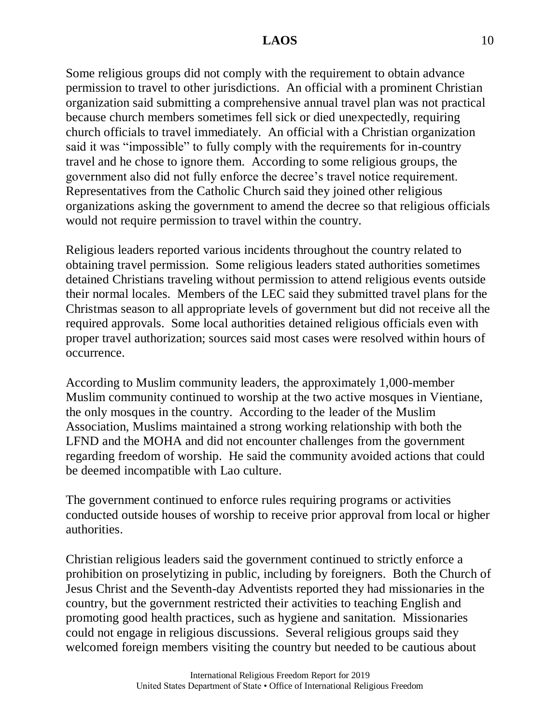Some religious groups did not comply with the requirement to obtain advance permission to travel to other jurisdictions. An official with a prominent Christian organization said submitting a comprehensive annual travel plan was not practical because church members sometimes fell sick or died unexpectedly, requiring church officials to travel immediately. An official with a Christian organization said it was "impossible" to fully comply with the requirements for in-country travel and he chose to ignore them. According to some religious groups, the government also did not fully enforce the decree's travel notice requirement. Representatives from the Catholic Church said they joined other religious organizations asking the government to amend the decree so that religious officials would not require permission to travel within the country.

Religious leaders reported various incidents throughout the country related to obtaining travel permission. Some religious leaders stated authorities sometimes detained Christians traveling without permission to attend religious events outside their normal locales. Members of the LEC said they submitted travel plans for the Christmas season to all appropriate levels of government but did not receive all the required approvals. Some local authorities detained religious officials even with proper travel authorization; sources said most cases were resolved within hours of occurrence.

According to Muslim community leaders, the approximately 1,000-member Muslim community continued to worship at the two active mosques in Vientiane, the only mosques in the country. According to the leader of the Muslim Association, Muslims maintained a strong working relationship with both the LFND and the MOHA and did not encounter challenges from the government regarding freedom of worship. He said the community avoided actions that could be deemed incompatible with Lao culture.

The government continued to enforce rules requiring programs or activities conducted outside houses of worship to receive prior approval from local or higher authorities.

Christian religious leaders said the government continued to strictly enforce a prohibition on proselytizing in public, including by foreigners. Both the Church of Jesus Christ and the Seventh-day Adventists reported they had missionaries in the country, but the government restricted their activities to teaching English and promoting good health practices, such as hygiene and sanitation. Missionaries could not engage in religious discussions. Several religious groups said they welcomed foreign members visiting the country but needed to be cautious about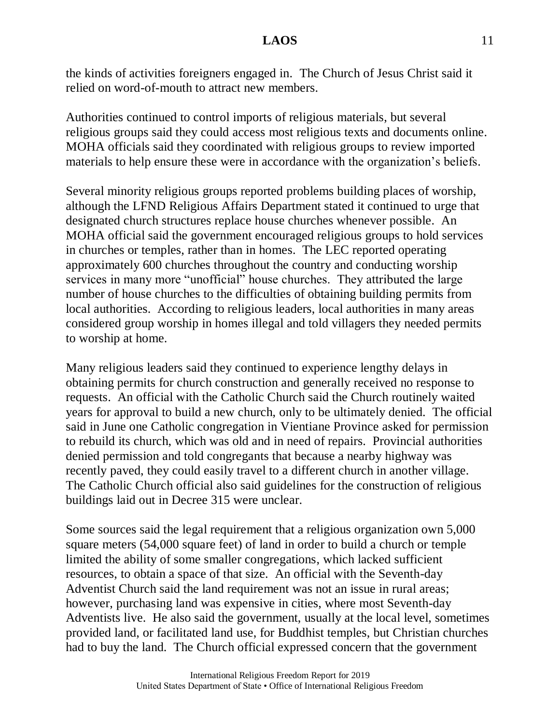the kinds of activities foreigners engaged in. The Church of Jesus Christ said it relied on word-of-mouth to attract new members.

Authorities continued to control imports of religious materials, but several religious groups said they could access most religious texts and documents online. MOHA officials said they coordinated with religious groups to review imported materials to help ensure these were in accordance with the organization's beliefs.

Several minority religious groups reported problems building places of worship, although the LFND Religious Affairs Department stated it continued to urge that designated church structures replace house churches whenever possible. An MOHA official said the government encouraged religious groups to hold services in churches or temples, rather than in homes. The LEC reported operating approximately 600 churches throughout the country and conducting worship services in many more "unofficial" house churches. They attributed the large number of house churches to the difficulties of obtaining building permits from local authorities. According to religious leaders, local authorities in many areas considered group worship in homes illegal and told villagers they needed permits to worship at home.

Many religious leaders said they continued to experience lengthy delays in obtaining permits for church construction and generally received no response to requests. An official with the Catholic Church said the Church routinely waited years for approval to build a new church, only to be ultimately denied. The official said in June one Catholic congregation in Vientiane Province asked for permission to rebuild its church, which was old and in need of repairs. Provincial authorities denied permission and told congregants that because a nearby highway was recently paved, they could easily travel to a different church in another village. The Catholic Church official also said guidelines for the construction of religious buildings laid out in Decree 315 were unclear.

Some sources said the legal requirement that a religious organization own 5,000 square meters (54,000 square feet) of land in order to build a church or temple limited the ability of some smaller congregations, which lacked sufficient resources, to obtain a space of that size. An official with the Seventh-day Adventist Church said the land requirement was not an issue in rural areas; however, purchasing land was expensive in cities, where most Seventh-day Adventists live. He also said the government, usually at the local level, sometimes provided land, or facilitated land use, for Buddhist temples, but Christian churches had to buy the land. The Church official expressed concern that the government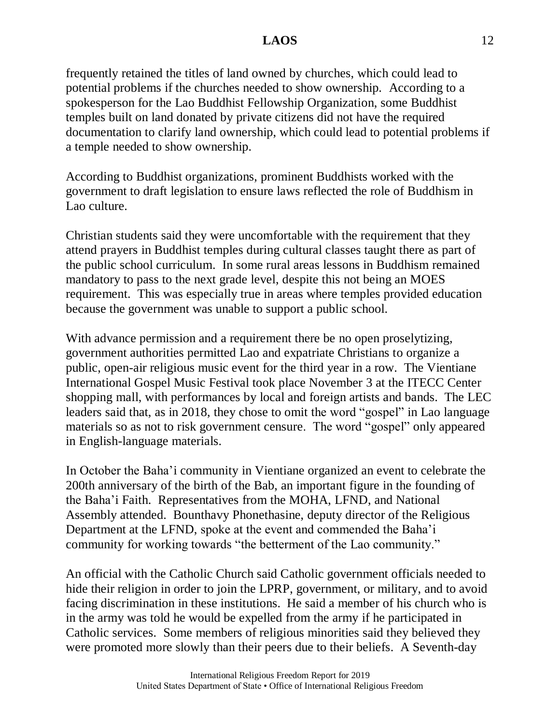frequently retained the titles of land owned by churches, which could lead to potential problems if the churches needed to show ownership. According to a spokesperson for the Lao Buddhist Fellowship Organization, some Buddhist temples built on land donated by private citizens did not have the required documentation to clarify land ownership, which could lead to potential problems if a temple needed to show ownership.

According to Buddhist organizations, prominent Buddhists worked with the government to draft legislation to ensure laws reflected the role of Buddhism in Lao culture.

Christian students said they were uncomfortable with the requirement that they attend prayers in Buddhist temples during cultural classes taught there as part of the public school curriculum. In some rural areas lessons in Buddhism remained mandatory to pass to the next grade level, despite this not being an MOES requirement. This was especially true in areas where temples provided education because the government was unable to support a public school.

With advance permission and a requirement there be no open proselytizing, government authorities permitted Lao and expatriate Christians to organize a public, open-air religious music event for the third year in a row. The Vientiane International Gospel Music Festival took place November 3 at the ITECC Center shopping mall, with performances by local and foreign artists and bands. The LEC leaders said that, as in 2018, they chose to omit the word "gospel" in Lao language materials so as not to risk government censure. The word "gospel" only appeared in English-language materials.

In October the Baha'i community in Vientiane organized an event to celebrate the 200th anniversary of the birth of the Bab, an important figure in the founding of the Baha'i Faith. Representatives from the MOHA, LFND, and National Assembly attended. Bounthavy Phonethasine, deputy director of the Religious Department at the LFND, spoke at the event and commended the Baha'i community for working towards "the betterment of the Lao community."

An official with the Catholic Church said Catholic government officials needed to hide their religion in order to join the LPRP, government, or military, and to avoid facing discrimination in these institutions. He said a member of his church who is in the army was told he would be expelled from the army if he participated in Catholic services. Some members of religious minorities said they believed they were promoted more slowly than their peers due to their beliefs. A Seventh-day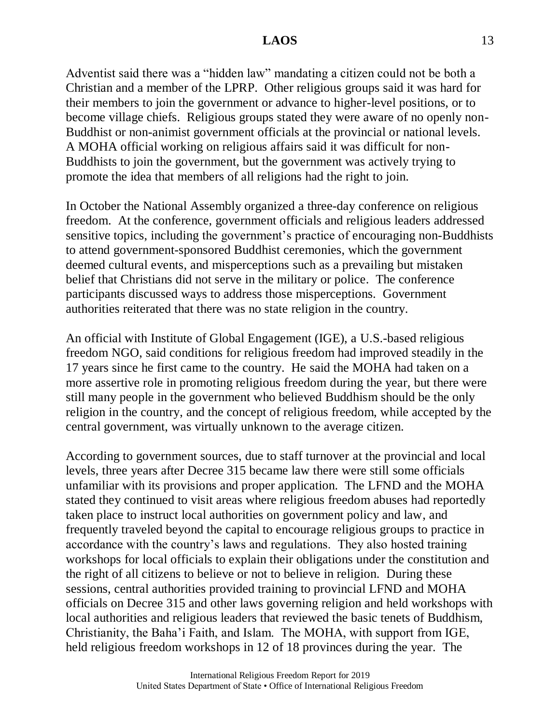Adventist said there was a "hidden law" mandating a citizen could not be both a Christian and a member of the LPRP. Other religious groups said it was hard for their members to join the government or advance to higher-level positions, or to become village chiefs. Religious groups stated they were aware of no openly non-Buddhist or non-animist government officials at the provincial or national levels. A MOHA official working on religious affairs said it was difficult for non-Buddhists to join the government, but the government was actively trying to promote the idea that members of all religions had the right to join.

In October the National Assembly organized a three-day conference on religious freedom. At the conference, government officials and religious leaders addressed sensitive topics, including the government's practice of encouraging non-Buddhists to attend government-sponsored Buddhist ceremonies, which the government deemed cultural events, and misperceptions such as a prevailing but mistaken belief that Christians did not serve in the military or police. The conference participants discussed ways to address those misperceptions. Government authorities reiterated that there was no state religion in the country.

An official with Institute of Global Engagement (IGE), a U.S.-based religious freedom NGO, said conditions for religious freedom had improved steadily in the 17 years since he first came to the country. He said the MOHA had taken on a more assertive role in promoting religious freedom during the year, but there were still many people in the government who believed Buddhism should be the only religion in the country, and the concept of religious freedom, while accepted by the central government, was virtually unknown to the average citizen.

According to government sources, due to staff turnover at the provincial and local levels, three years after Decree 315 became law there were still some officials unfamiliar with its provisions and proper application. The LFND and the MOHA stated they continued to visit areas where religious freedom abuses had reportedly taken place to instruct local authorities on government policy and law, and frequently traveled beyond the capital to encourage religious groups to practice in accordance with the country's laws and regulations. They also hosted training workshops for local officials to explain their obligations under the constitution and the right of all citizens to believe or not to believe in religion. During these sessions, central authorities provided training to provincial LFND and MOHA officials on Decree 315 and other laws governing religion and held workshops with local authorities and religious leaders that reviewed the basic tenets of Buddhism, Christianity, the Baha'i Faith, and Islam. The MOHA, with support from IGE, held religious freedom workshops in 12 of 18 provinces during the year. The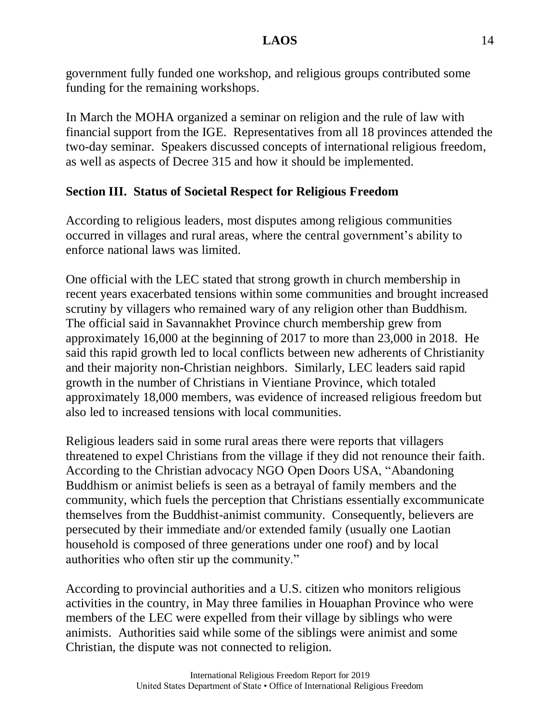government fully funded one workshop, and religious groups contributed some funding for the remaining workshops.

In March the MOHA organized a seminar on religion and the rule of law with financial support from the IGE. Representatives from all 18 provinces attended the two-day seminar. Speakers discussed concepts of international religious freedom, as well as aspects of Decree 315 and how it should be implemented.

# **Section III. Status of Societal Respect for Religious Freedom**

According to religious leaders, most disputes among religious communities occurred in villages and rural areas, where the central government's ability to enforce national laws was limited.

One official with the LEC stated that strong growth in church membership in recent years exacerbated tensions within some communities and brought increased scrutiny by villagers who remained wary of any religion other than Buddhism. The official said in Savannakhet Province church membership grew from approximately 16,000 at the beginning of 2017 to more than 23,000 in 2018. He said this rapid growth led to local conflicts between new adherents of Christianity and their majority non-Christian neighbors. Similarly, LEC leaders said rapid growth in the number of Christians in Vientiane Province, which totaled approximately 18,000 members, was evidence of increased religious freedom but also led to increased tensions with local communities.

Religious leaders said in some rural areas there were reports that villagers threatened to expel Christians from the village if they did not renounce their faith. According to the Christian advocacy NGO Open Doors USA, "Abandoning Buddhism or animist beliefs is seen as a betrayal of family members and the community, which fuels the perception that Christians essentially excommunicate themselves from the Buddhist-animist community. Consequently, believers are persecuted by their immediate and/or extended family (usually one Laotian household is composed of three generations under one roof) and by local authorities who often stir up the community."

According to provincial authorities and a U.S. citizen who monitors religious activities in the country, in May three families in Houaphan Province who were members of the LEC were expelled from their village by siblings who were animists. Authorities said while some of the siblings were animist and some Christian, the dispute was not connected to religion.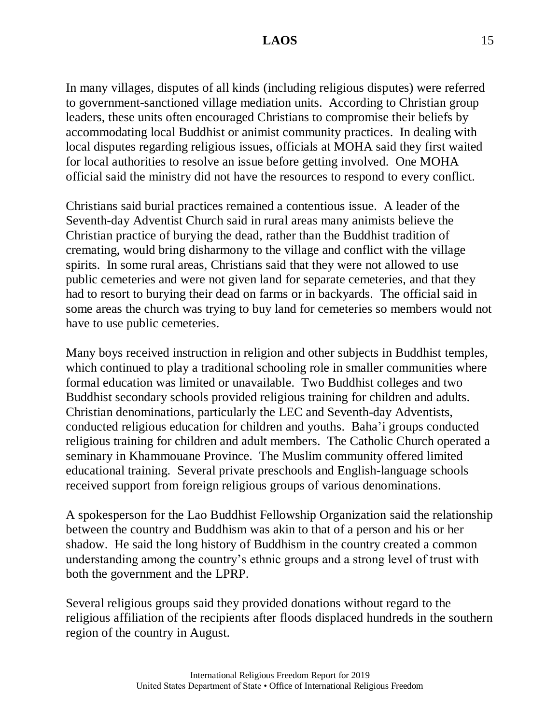In many villages, disputes of all kinds (including religious disputes) were referred to government-sanctioned village mediation units. According to Christian group leaders, these units often encouraged Christians to compromise their beliefs by accommodating local Buddhist or animist community practices. In dealing with local disputes regarding religious issues, officials at MOHA said they first waited for local authorities to resolve an issue before getting involved. One MOHA official said the ministry did not have the resources to respond to every conflict.

Christians said burial practices remained a contentious issue. A leader of the Seventh-day Adventist Church said in rural areas many animists believe the Christian practice of burying the dead, rather than the Buddhist tradition of cremating, would bring disharmony to the village and conflict with the village spirits. In some rural areas, Christians said that they were not allowed to use public cemeteries and were not given land for separate cemeteries, and that they had to resort to burying their dead on farms or in backyards. The official said in some areas the church was trying to buy land for cemeteries so members would not have to use public cemeteries.

Many boys received instruction in religion and other subjects in Buddhist temples, which continued to play a traditional schooling role in smaller communities where formal education was limited or unavailable. Two Buddhist colleges and two Buddhist secondary schools provided religious training for children and adults. Christian denominations, particularly the LEC and Seventh-day Adventists, conducted religious education for children and youths. Baha'i groups conducted religious training for children and adult members. The Catholic Church operated a seminary in Khammouane Province. The Muslim community offered limited educational training. Several private preschools and English-language schools received support from foreign religious groups of various denominations.

A spokesperson for the Lao Buddhist Fellowship Organization said the relationship between the country and Buddhism was akin to that of a person and his or her shadow. He said the long history of Buddhism in the country created a common understanding among the country's ethnic groups and a strong level of trust with both the government and the LPRP.

Several religious groups said they provided donations without regard to the religious affiliation of the recipients after floods displaced hundreds in the southern region of the country in August.